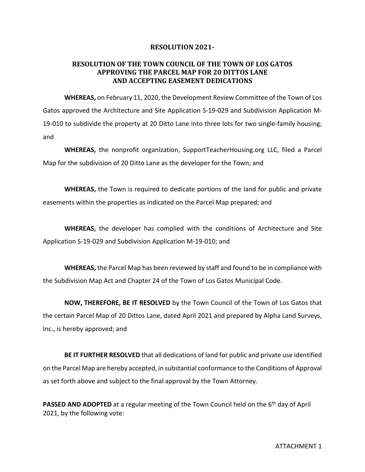## **RESOLUTION 2021-**

## **RESOLUTION OF THE TOWN COUNCIL OF THE TOWN OF LOS GATOS APPROVING THE PARCEL MAP FOR 20 DITTOS LANE AND ACCEPTING EASEMENT DEDICATIONS**

**WHEREAS,** on February 11, 2020, the Development Review Committee of the Town of Los Gatos approved the Architecture and Site Application S-19-029 and Subdivision Application M-19-010 to subdivide the property at 20 Ditto Lane into three lots for two single-family housing; and

**WHEREAS,** the nonprofit organization, SupportTeacherHousing.org LLC, filed a Parcel Map for the subdivision of 20 Ditto Lane as the developer for the Town; and

**WHEREAS,** the Town is required to dedicate portions of the land for public and private easements within the properties as indicated on the Parcel Map prepared; and

**WHEREAS,** the developer has complied with the conditions of Architecture and Site Application S-19-029 and Subdivision Application M-19-010; and

**WHEREAS,** the Parcel Map has been reviewed by staff and found to be in compliance with the Subdivision Map Act and Chapter 24 of the Town of Los Gatos Municipal Code.

**NOW, THEREFORE, BE IT RESOLVED** by the Town Council of the Town of Los Gatos that the certain Parcel Map of 20 Dittos Lane, dated April 2021 and prepared by Alpha Land Surveys, Inc., is hereby approved; and

**BE IT FURTHER RESOLVED** that all dedications of land for public and private use identified on the Parcel Map are hereby accepted, in substantial conformance to the Conditions of Approval as set forth above and subject to the final approval by the Town Attorney.

**PASSED AND ADOPTED** at a regular meeting of the Town Council held on the 6<sup>th</sup> day of April 2021, by the following vote: